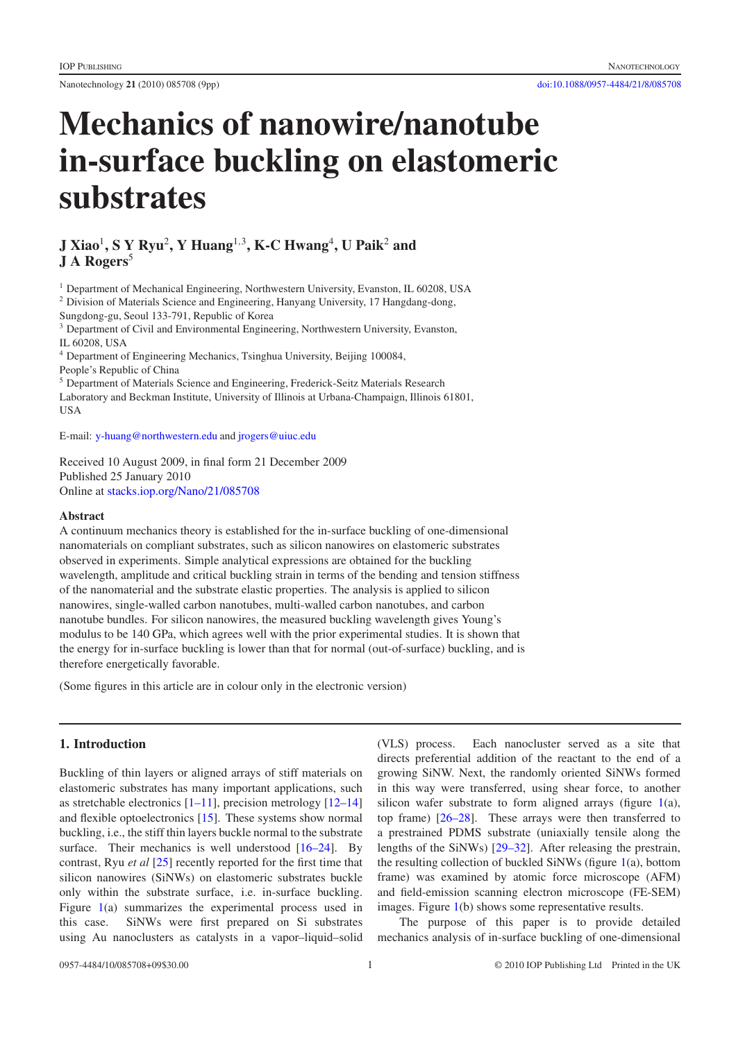Nanotechnology **21** (2010) 085708 (9pp) [doi:10.1088/0957-4484/21/8/085708](http://dx.doi.org/10.1088/0957-4484/21/8/085708)

# **Mechanics of nanowire/nanotube in-surface buckling on elastomeric substrates**

# **J Xiao**<sup>1</sup> **, S Y Ryu**<sup>2</sup> **, Y Huang**<sup>1</sup>,<sup>3</sup> **, K-C Hwang**<sup>4</sup>**, U Paik**<sup>2</sup> **and J A Rogers**<sup>5</sup>

<sup>1</sup> Department of Mechanical Engineering, Northwestern University, Evanston, IL 60208, USA

<sup>2</sup> Division of Materials Science and Engineering, Hanyang University, 17 Hangdang-dong, Sungdong-gu, Seoul 133-791, Republic of Korea

<sup>3</sup> Department of Civil and Environmental Engineering, Northwestern University, Evanston, IL 60208, USA

<sup>4</sup> Department of Engineering Mechanics, Tsinghua University, Beijing 100084,

People's Republic of China

<sup>5</sup> Department of Materials Science and Engineering, Frederick-Seitz Materials Research

Laboratory and Beckman Institute, University of Illinois at Urbana-Champaign, Illinois 61801, USA

E-mail: [y-huang@northwestern.edu](mailto:y-huang@northwestern.edu) and [jrogers@uiuc.edu](mailto:jrogers@uiuc.edu)

Received 10 August 2009, in final form 21 December 2009 Published 25 January 2010

Online at [stacks.iop.org/Nano/21/085708](http://stacks.iop.org/Nano/21/085708)

#### **Abstract**

A continuum mechanics theory is established for the in-surface buckling of one-dimensional nanomaterials on compliant substrates, such as silicon nanowires on elastomeric substrates observed in experiments. Simple analytical expressions are obtained for the buckling wavelength, amplitude and critical buckling strain in terms of the bending and tension stiffness of the nanomaterial and the substrate elastic properties. The analysis is applied to silicon nanowires, single-walled carbon nanotubes, multi-walled carbon nanotubes, and carbon nanotube bundles. For silicon nanowires, the measured buckling wavelength gives Young's modulus to be 140 GPa, which agrees well with the prior experimental studies. It is shown that the energy for in-surface buckling is lower than that for normal (out-of-surface) buckling, and is therefore energetically favorable.

(Some figures in this article are in colour only in the electronic version)

### **1. Introduction**

Buckling of thin layers or aligned arrays of stiff materials on elastomeric substrates has many important applications, such as stretchable electronics [\[1–11\]](#page-7-0), precision metrology [\[12–14\]](#page-7-1) and flexible optoelectronics [\[15\]](#page-7-2). These systems show normal buckling, i.e., the stiff thin layers buckle normal to the substrate surface. Their mechanics is well understood [\[16–24\]](#page-7-3). By contrast, Ryu *et al* [\[25\]](#page-7-4) recently reported for the first time that silicon nanowires (SiNWs) on elastomeric substrates buckle only within the substrate surface, i.e. in-surface buckling. Figure [1\(](#page-1-0)a) summarizes the experimental process used in this case. SiNWs were first prepared on Si substrates using Au nanoclusters as catalysts in a vapor–liquid–solid

(VLS) process. Each nanocluster served as a site that directs preferential addition of the reactant to the end of a growing SiNW. Next, the randomly oriented SiNWs formed in this way were transferred, using shear force, to another silicon wafer substrate to form aligned arrays (figure [1\(](#page-1-0)a), top frame) [\[26–28\]](#page-7-5). These arrays were then transferred to a prestrained PDMS substrate (uniaxially tensile along the lengths of the SiNWs) [\[29–32\]](#page-7-6). After releasing the prestrain, the resulting collection of buckled SiNWs (figure [1\(](#page-1-0)a), bottom frame) was examined by atomic force microscope (AFM) and field-emission scanning electron microscope (FE-SEM) images. Figure [1\(](#page-1-0)b) shows some representative results.

The purpose of this paper is to provide detailed mechanics analysis of in-surface buckling of one-dimensional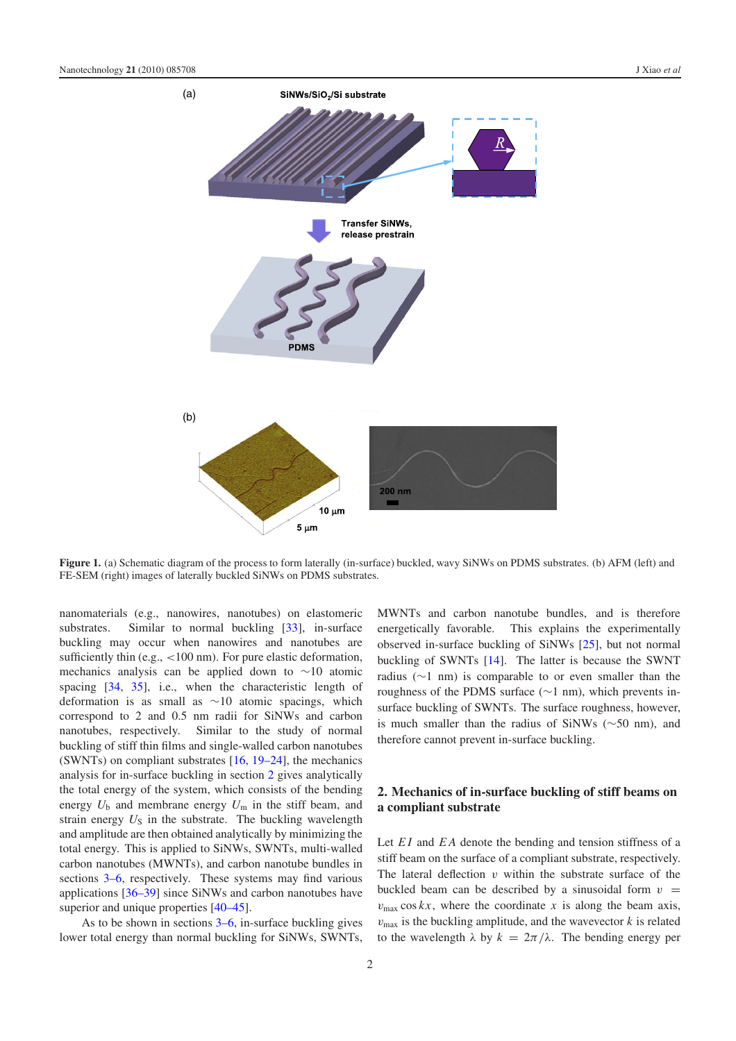<span id="page-1-0"></span>

**Figure 1.** (a) Schematic diagram of the process to form laterally (in-surface) buckled, wavy SiNWs on PDMS substrates. (b) AFM (left) and FE-SEM (right) images of laterally buckled SiNWs on PDMS substrates.

nanomaterials (e.g., nanowires, nanotubes) on elastomeric substrates. Similar to normal buckling [\[33\]](#page-7-7), in-surface buckling may occur when nanowires and nanotubes are sufficiently thin (e.g.,  $\langle 100 \text{ nm} \rangle$ ). For pure elastic deformation, mechanics analysis can be applied down to ∼10 atomic spacing [\[34,](#page-7-8) [35\]](#page-7-9), i.e., when the characteristic length of deformation is as small as ∼10 atomic spacings, which correspond to 2 and 0.5 nm radii for SiNWs and carbon nanotubes, respectively. Similar to the study of normal buckling of stiff thin films and single-walled carbon nanotubes (SWNTs) on compliant substrates [\[16,](#page-7-3) [19–24\]](#page-7-10), the mechanics analysis for in-surface buckling in section [2](#page-1-1) gives analytically the total energy of the system, which consists of the bending energy  $U_b$  and membrane energy  $U_m$  in the stiff beam, and strain energy  $U_S$  in the substrate. The buckling wavelength and amplitude are then obtained analytically by minimizing the total energy. This is applied to SiNWs, SWNTs, multi-walled carbon nanotubes (MWNTs), and carbon nanotube bundles in sections [3–](#page-3-0)[6,](#page-5-0) respectively. These systems may find various applications [\[36–39\]](#page-7-11) since SiNWs and carbon nanotubes have superior and unique properties  $[40-45]$ .

As to be shown in sections [3](#page-3-0)[–6,](#page-5-0) in-surface buckling gives lower total energy than normal buckling for SiNWs, SWNTs, MWNTs and carbon nanotube bundles, and is therefore energetically favorable. This explains the experimentally observed in-surface buckling of SiNWs [\[25\]](#page-7-4), but not normal buckling of SWNTs [\[14\]](#page-7-13). The latter is because the SWNT radius (∼1 nm) is comparable to or even smaller than the roughness of the PDMS surface (∼1 nm), which prevents insurface buckling of SWNTs. The surface roughness, however, is much smaller than the radius of SiNWs (∼50 nm), and therefore cannot prevent in-surface buckling.

# <span id="page-1-1"></span>**2. Mechanics of in-surface buckling of stiff beams on a compliant substrate**

Let *EI* and *EA* denote the bending and tension stiffness of a stiff beam on the surface of a compliant substrate, respectively. The lateral deflection  $v$  within the substrate surface of the buckled beam can be described by a sinusoidal form  $v =$  $v_{\text{max}} \cos kx$ , where the coordinate x is along the beam axis,  $v_{\text{max}}$  is the buckling amplitude, and the wavevector  $k$  is related to the wavelength  $\lambda$  by  $k = 2\pi/\lambda$ . The bending energy per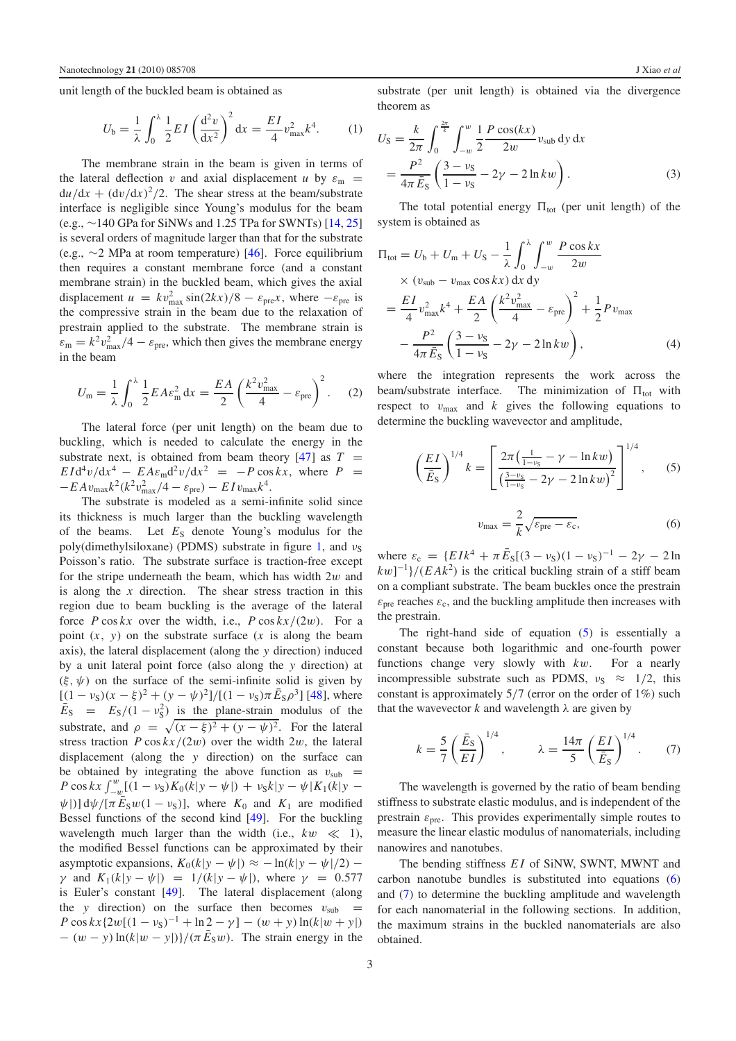unit length of the buckled beam is obtained as

$$
U_{\rm b} = \frac{1}{\lambda} \int_0^{\lambda} \frac{1}{2} EI \left( \frac{d^2 v}{dx^2} \right)^2 dx = \frac{EI}{4} v_{\rm max}^2 k^4.
$$
 (1)

The membrane strain in the beam is given in terms of the lateral deflection *v* and axial displacement *u* by  $\varepsilon_m$  =  $du/dx + (dv/dx)^2/2$ . The shear stress at the beam/substrate interface is negligible since Young's modulus for the beam (e.g., ∼140 GPa for SiNWs and 1.25 TPa for SWNTs) [\[14,](#page-7-13) [25\]](#page-7-4) is several orders of magnitude larger than that for the substrate (e.g., ∼2 MPa at room temperature) [\[46\]](#page-8-0). Force equilibrium then requires a constant membrane force (and a constant membrane strain) in the buckled beam, which gives the axial displacement  $u = kv_{\text{max}}^2 \sin(2kx)/8 - \varepsilon_{\text{pre}}x$ , where  $-\varepsilon_{\text{pre}}$  is the compressive strain in the beam due to the relaxation of prestrain applied to the substrate. The membrane strain is  $\varepsilon_{\rm m} = k^2 v_{\rm max}^2/4 - \varepsilon_{\rm pre}$ , which then gives the membrane energy in the beam

$$
U_{\rm m} = \frac{1}{\lambda} \int_0^{\lambda} \frac{1}{2} E A \varepsilon_{\rm m}^2 dx = \frac{E A}{2} \left( \frac{k^2 v_{\rm max}^2}{4} - \varepsilon_{\rm pre} \right)^2.
$$
 (2)

The lateral force (per unit length) on the beam due to buckling, which is needed to calculate the energy in the substrate next, is obtained from beam theory  $[47]$  as  $T =$  $E I d^4 v / dx^4 - E A \varepsilon_m d^2 v / dx^2 = -P \cos kx$ , where  $P =$  $-E A v_{\text{max}} k^2 (k^2 v_{\text{max}}^2/4 - \varepsilon_{\text{pre}}) - E I v_{\text{max}} k^4.$ 

The substrate is modeled as a semi-infinite solid since its thickness is much larger than the buckling wavelength of the beams. Let  $E<sub>S</sub>$  denote Young's modulus for the poly(dimethylsiloxane) (PDMS) substrate in figure [1,](#page-1-0) and  $v_S$ Poisson's ratio. The substrate surface is traction-free except for the stripe underneath the beam, which has width  $2w$  and is along the *x* direction. The shear stress traction in this region due to beam buckling is the average of the lateral force  $P \cos kx$  over the width, i.e.,  $P \cos kx/(2w)$ . For a point  $(x, y)$  on the substrate surface  $(x$  is along the beam axis), the lateral displacement (along the *y* direction) induced by a unit lateral point force (also along the *y* direction) at  $(\xi, \psi)$  on the surface of the semi-infinite solid is given by  $[(1 - \nu_s)(x - \xi)^2 + (y - \psi)^2]/[(1 - \nu_s)\pi \bar{E}_s \rho^3]$  [\[48\]](#page-8-2), where  $\bar{E}_\text{S}$  =  $E_\text{S}/(1 - v_\text{S}^2)$  is the plane-strain modulus of the substrate, and  $\rho = \sqrt{(x - \xi)^2 + (y - \psi)^2}$ . For the lateral stress traction *P* cos  $kx/(2w)$  over the width 2w, the lateral displacement (along the *y* direction) on the surface can be obtained by integrating the above function as  $v_{sub}$  =  $P \cos kx \int_{-w}^{w} [(1 - v_{\rm S})K_0(k|y - \psi|) + v_{\rm S}k|y - \psi|K_1(k|y - \psi|)]$  $\psi$ |)] d $\psi$ /[ $\pi \bar{E}_S w(1 - v_S)$ ], where  $K_0$  and  $K_1$  are modified Bessel functions of the second kind [\[49\]](#page-8-3). For the buckling wavelength much larger than the width (i.e.,  $kw \ll 1$ ), the modified Bessel functions can be approximated by their asymptotic expansions,  $K_0(k|y - \psi|) \approx -\ln(k|y - \psi|/2)$  – *γ* and  $K_1(k|y - ψ|) = 1/(k|y - ψ|)$ , where  $γ = 0.577$ is Euler's constant [\[49\]](#page-8-3). The lateral displacement (along the *y* direction) on the surface then becomes  $v_{sub}$  =  $P \cos kx \{2w[(1 - v_S)^{-1} + \ln 2 - \gamma] - (w + y)\ln(k|w + y|)$  $-(w - y) \ln(k|w - y|)/(\pi \bar{E}_S w)$ . The strain energy in the substrate (per unit length) is obtained via the divergence theorem as

<span id="page-2-3"></span>
$$
U_{\rm S} = \frac{k}{2\pi} \int_0^{\frac{2\pi}{k}} \int_{-w}^w \frac{1}{2} \frac{P \cos(kx)}{2w} v_{\rm sub} \, \mathrm{d}y \, \mathrm{d}x
$$
  
= 
$$
\frac{P^2}{4\pi \bar{E}_{\rm S}} \left( \frac{3 - v_{\rm S}}{1 - v_{\rm S}} - 2\gamma - 2 \ln k w \right).
$$
 (3)

The total potential energy  $\Pi_{tot}$  (per unit length) of the system is obtained as

$$
\Pi_{\text{tot}} = U_{\text{b}} + U_{\text{m}} + U_{\text{S}} - \frac{1}{\lambda} \int_{0}^{\lambda} \int_{-w}^{w} \frac{P \cos kx}{2w} \times (v_{\text{sub}} - v_{\text{max}} \cos kx) \, dx \, dy
$$
\n
$$
= \frac{EI}{4} v_{\text{max}}^2 k^4 + \frac{EA}{2} \left( \frac{k^2 v_{\text{max}}^2}{4} - \varepsilon_{\text{pre}} \right)^2 + \frac{1}{2} P v_{\text{max}}
$$
\n
$$
- \frac{P^2}{4\pi \bar{E}_{\text{S}}} \left( \frac{3 - v_{\text{S}}}{1 - v_{\text{S}}} - 2\gamma - 2 \ln kw \right), \tag{4}
$$

<span id="page-2-0"></span>where the integration represents the work across the beam/substrate interface. The minimization of  $\Pi_{\text{tot}}$  with respect to  $v_{\text{max}}$  and  $k$  gives the following equations to determine the buckling wavevector and amplitude,

<span id="page-2-1"></span>
$$
\left(\frac{EI}{\bar{E}_{\rm S}}\right)^{1/4} k = \left[\frac{2\pi \left(\frac{1}{1-\nu_{\rm S}} - \gamma - \ln kw\right)}{\left(\frac{3-\nu_{\rm S}}{1-\nu_{\rm S}} - 2\gamma - 2\ln kw\right)^2}\right]^{1/4},\qquad(5)
$$

$$
v_{\rm max} = \frac{2}{k} \sqrt{\varepsilon_{\rm pre} - \varepsilon_{\rm c}},\qquad(6)
$$

where  $\varepsilon_c = \{EIk^4 + \pi \bar{E}_S[(3 - \nu_S)(1 - \nu_S)^{-1} - 2\gamma - 2\ln \}$  $kw]$ <sup>-1</sup>}/(*EAk*<sup>2</sup>) is the critical buckling strain of a stiff beam on a compliant substrate. The beam buckles once the prestrain  $\varepsilon_{\text{pre}}$  reaches  $\varepsilon_{\text{c}}$ , and the buckling amplitude then increases with the prestrain.

<span id="page-2-2"></span>The right-hand side of equation [\(5\)](#page-2-0) is essentially a constant because both logarithmic and one-fourth power functions change very slowly with *k*w. For a nearly incompressible substrate such as PDMS,  $v_S \approx 1/2$ , this constant is approximately  $5/7$  (error on the order of  $1\%$ ) such that the wavevector  $k$  and wavelength  $\lambda$  are given by

$$
k = \frac{5}{7} \left( \frac{\bar{E}_\text{S}}{EI} \right)^{1/4}, \qquad \lambda = \frac{14\pi}{5} \left( \frac{EI}{\bar{E}_\text{S}} \right)^{1/4}.
$$
 (7)

The wavelength is governed by the ratio of beam bending stiffness to substrate elastic modulus, and is independent of the prestrain  $\varepsilon_{pre}$ . This provides experimentally simple routes to measure the linear elastic modulus of nanomaterials, including nanowires and nanotubes.

The bending stiffness *E I* of SiNW, SWNT, MWNT and carbon nanotube bundles is substituted into equations [\(6\)](#page-2-1) and [\(7\)](#page-2-2) to determine the buckling amplitude and wavelength for each nanomaterial in the following sections. In addition, the maximum strains in the buckled nanomaterials are also obtained.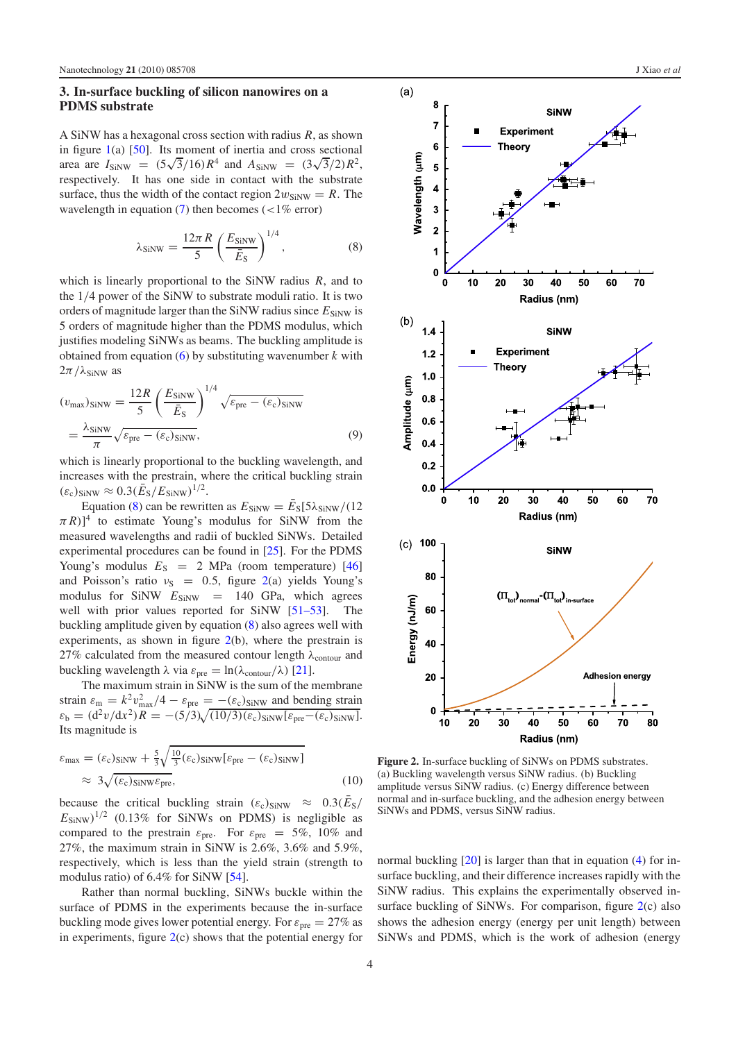#### <span id="page-3-0"></span>**3. In-surface buckling of silicon nanowires on a PDMS substrate**

A SiNW has a hexagonal cross section with radius *R*, as shown in figure  $1(a)$  $1(a)$  [\[50\]](#page-8-4). Its moment of inertia and cross sectional in figure 1(a) [50]. Its moment of inertia and cross sectional<br>area are  $I_{\text{SiNW}} = (5\sqrt{3}/16)R^4$  and  $A_{\text{SiNW}} = (3\sqrt{3}/2)R^2$ , respectively. It has one side in contact with the substrate surface, thus the width of the contact region  $2w_{\text{SiNW}} = R$ . The wavelength in equation [\(7\)](#page-2-2) then becomes  $\left($  <1% error)

<span id="page-3-1"></span>
$$
\lambda_{\text{SINW}} = \frac{12\pi R}{5} \left(\frac{E_{\text{SINW}}}{\bar{E}_{\text{S}}}\right)^{1/4},\tag{8}
$$

which is linearly proportional to the SiNW radius *R*, and to the 1/4 power of the SiNW to substrate moduli ratio. It is two orders of magnitude larger than the SiNW radius since  $E_{\text{SiNW}}$  is 5 orders of magnitude higher than the PDMS modulus, which justifies modeling SiNWs as beams. The buckling amplitude is obtained from equation [\(6\)](#page-2-1) by substituting wavenumber *k* with  $2\pi/\lambda_{\text{SiNW}}$  as

$$
(v_{\text{max}})_{\text{SiNW}} = \frac{12R}{5} \left(\frac{E_{\text{SiNW}}}{\bar{E}_{\text{S}}}\right)^{1/4} \sqrt{\varepsilon_{\text{pre}} - (\varepsilon_{\text{c}})_{\text{SiNW}}}
$$

$$
= \frac{\lambda_{\text{SiNW}}}{\pi} \sqrt{\varepsilon_{\text{pre}} - (\varepsilon_{\text{c}})_{\text{SiNW}}},
$$
(9)

which is linearly proportional to the buckling wavelength, and increases with the prestrain, where the critical buckling strain  $(\varepsilon_c)_{\text{SiNW}} \approx 0.3(\bar{E}_\text{S}/E_{\text{SiNW}})^{1/2}.$ 

Equation [\(8\)](#page-3-1) can be rewritten as  $E_{\text{SiNW}} = \bar{E}_{\text{S}}[5\lambda_{\text{SiNW}}/(12$  $(\pi R)^4$  to estimate Young's modulus for SiNW from the measured wavelengths and radii of buckled SiNWs. Detailed experimental procedures can be found in [\[25\]](#page-7-4). For the PDMS Young's modulus  $E_S = 2$  MPa (room temperature) [\[46\]](#page-8-0) and Poisson's ratio  $v_S = 0.5$ , figure [2\(](#page-3-2)a) yields Young's modulus for SiNW  $E_{\text{SiNW}} = 140 \text{ GPa}$ , which agrees well with prior values reported for SiNW [\[51–53\]](#page-8-5). The buckling amplitude given by equation [\(8\)](#page-3-1) also agrees well with experiments, as shown in figure [2\(](#page-3-2)b), where the prestrain is 27% calculated from the measured contour length  $\lambda_{\text{contour}}$  and buckling wavelength λ via  $\varepsilon_{pre} = \ln(\lambda_{contour}/\lambda)$  [\[21\]](#page-7-14).

The maximum strain in SiNW is the sum of the membrane strain  $\varepsilon_{\rm m} = k^2 v_{\rm max}^2/4 - \varepsilon_{\rm pre} = -(\varepsilon_{\rm c})_{\rm SiNW}$  and bending strain  $\varepsilon_{\rm b} = (d^2v/dx^2)R = -(5/3)\sqrt{(10/3)(\varepsilon_{\rm c})_{\rm SiNW}[\varepsilon_{\rm pre}-(\varepsilon_{\rm c})_{\rm SiNW}]}$ . Its magnitude is

$$
\varepsilon_{\text{max}} = (\varepsilon_{\text{c}})_{\text{SiNW}} + \frac{5}{3} \sqrt{\frac{10}{3} (\varepsilon_{\text{c}})_{\text{SiNW}} [\varepsilon_{\text{pre}} - (\varepsilon_{\text{c}})_{\text{SiNW}}]}
$$
  
\n
$$
\approx 3 \sqrt{(\varepsilon_{\text{c}})_{\text{SiNW}} \varepsilon_{\text{pre}}},
$$
\n(10)

because the critical buckling strain  $(\varepsilon_c)_{\text{SiNW}} \approx 0.3(\bar{E}_S)$  $E_{\text{SiNW}}$ )<sup>1/2</sup> (0.13% for SiNWs on PDMS) is negligible as compared to the prestrain  $\varepsilon_{pre}$ . For  $\varepsilon_{pre} = 5\%$ , 10% and 27%, the maximum strain in SiNW is 2.6%, 3.6% and 5.9%, respectively, which is less than the yield strain (strength to modulus ratio) of 6.4% for SiNW [\[54\]](#page-8-6).

Rather than normal buckling, SiNWs buckle within the surface of PDMS in the experiments because the in-surface buckling mode gives lower potential energy. For  $\varepsilon_{\text{pre}} = 27\%$  as in experiments, figure  $2(c)$  $2(c)$  shows that the potential energy for

<span id="page-3-2"></span>

**Figure 2.** In-surface buckling of SiNWs on PDMS substrates. (a) Buckling wavelength versus SiNW radius. (b) Buckling amplitude versus SiNW radius. (c) Energy difference between normal and in-surface buckling, and the adhesion energy between SiNWs and PDMS, versus SiNW radius.

normal buckling [\[20\]](#page-7-15) is larger than that in equation [\(4\)](#page-2-3) for insurface buckling, and their difference increases rapidly with the SiNW radius. This explains the experimentally observed in-surface buckling of SiNWs. For comparison, figure [2\(](#page-3-2)c) also shows the adhesion energy (energy per unit length) between SiNWs and PDMS, which is the work of adhesion (energy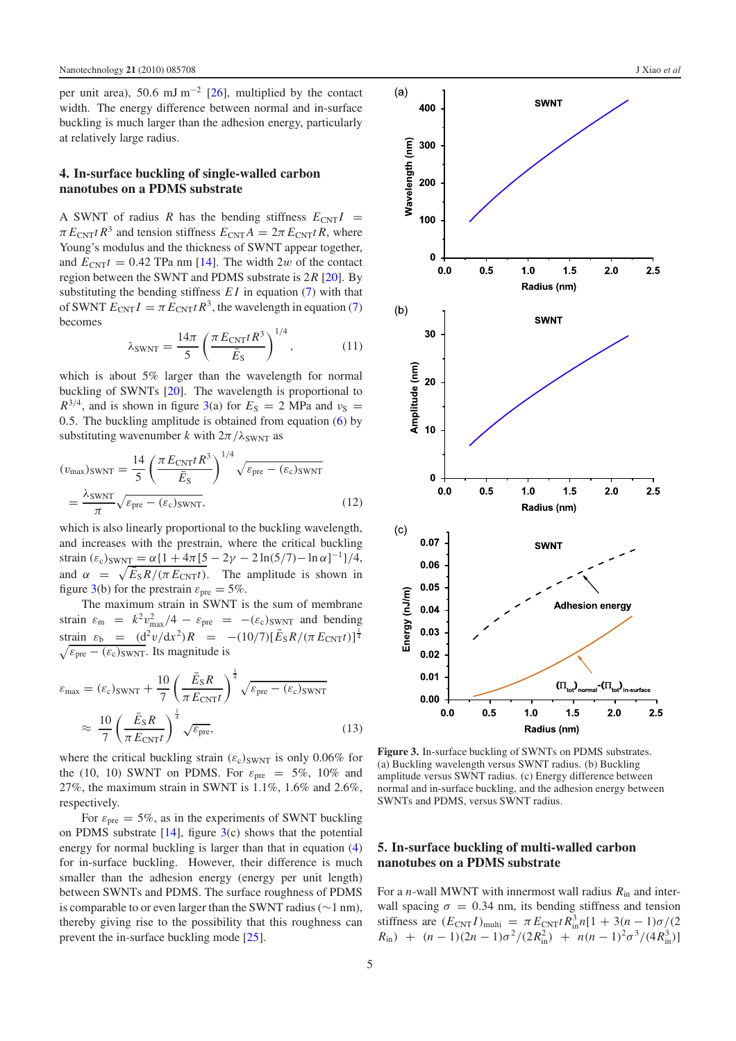per unit area), 50.6 mJ m<sup>-2</sup> [\[26\]](#page-7-5), multiplied by the contact width. The energy difference between normal and in-surface buckling is much larger than the adhesion energy, particularly at relatively large radius.

#### **4. In-surface buckling of single-walled carbon nanotubes on a PDMS substrate**

A SWNT of radius *R* has the bending stiffness  $E_{\text{CNT}}I$  =  $\pi E_{\text{CNT}} t R^3$  and tension stiffness  $E_{\text{CNT}} A = 2\pi E_{\text{CNT}} t R$ , where Young's modulus and the thickness of SWNT appear together, and  $E_{\text{CNT}}t = 0.42$  TPa nm [\[14\]](#page-7-13). The width 2w of the contact region between the SWNT and PDMS substrate is 2*R* [\[20\]](#page-7-15). By substituting the bending stiffness *E I* in equation [\(7\)](#page-2-2) with that of SWNT  $E_{\text{CNT}}I = \pi E_{\text{CNT}} t R^3$ , the wavelength in equation [\(7\)](#page-2-2) becomes

$$
\lambda_{\text{SWNT}} = \frac{14\pi}{5} \left( \frac{\pi E_{\text{CNT}} t R^3}{\bar{E}_\text{S}} \right)^{1/4},\tag{11}
$$

which is about 5% larger than the wavelength for normal buckling of SWNTs [\[20\]](#page-7-15). The wavelength is proportional to  $R^{3/4}$ , and is shown in figure [3\(](#page-4-0)a) for  $E_S = 2$  MPa and  $v_S =$ 0.5. The buckling amplitude is obtained from equation [\(6\)](#page-2-1) by substituting wavenumber *k* with  $2\pi/\lambda_{\text{SWNT}}$  as

$$
(v_{\text{max}})_{\text{SWNT}} = \frac{14}{5} \left( \frac{\pi E_{\text{CNT}} t R^3}{\bar{E}_{\text{S}}} \right)^{1/4} \sqrt{\varepsilon_{\text{pre}} - (\varepsilon_{\text{c}})_{\text{SWNT}}}
$$

$$
= \frac{\lambda_{\text{SWNT}}}{\pi} \sqrt{\varepsilon_{\text{pre}} - (\varepsilon_{\text{c}})_{\text{SWNT}}},
$$
(12)

which is also linearly proportional to the buckling wavelength, and increases with the prestrain, where the critical buckling strain  $(\varepsilon_c)_{\text{SWNT}} = \alpha \{1 + 4\pi [5 - 2\gamma - 2 \ln(5/7) - \ln \alpha]^{-1}\}/4,$ and  $\alpha = \sqrt{\bar{E}_S R / (\pi E_{\text{CNT}} t)}$ . The amplitude is shown in figure [3\(](#page-4-0)b) for the prestrain  $\varepsilon_{pre} = 5\%$ .

The maximum strain in SWNT is the sum of membrane strain  $\varepsilon_{\rm m} = k^2 v_{\rm max}^2/4 - \varepsilon_{\rm pre} = -(\varepsilon_{\rm c})_{\rm SWNT}$  and bending strain  $\varepsilon_b = (d^2v/dx^2)R = -(10/7)[\bar{E}_S R/(\pi E_{\text{CNT}}t)]^{\frac{1}{4}}$  $\sqrt{\varepsilon_{\text{pre}} - (\varepsilon_{\text{c}})_{\text{SWNT}}}$ . Its magnitude is

$$
\varepsilon_{\text{max}} = (\varepsilon_{\text{c}})_{\text{SWNT}} + \frac{10}{7} \left( \frac{\bar{E}_{\text{S}} R}{\pi E_{\text{CNT}} t} \right)^{\frac{1}{4}} \sqrt{\varepsilon_{\text{pre}} - (\varepsilon_{\text{c}})_{\text{SWNT}}}
$$

$$
\approx \frac{10}{7} \left( \frac{\bar{E}_{\text{S}} R}{\pi E_{\text{CNT}} t} \right)^{\frac{1}{4}} \sqrt{\varepsilon_{\text{pre}}},\tag{13}
$$

where the critical buckling strain  $(\varepsilon_c)_{\text{SWNT}}$  is only 0.06% for the (10, 10) SWNT on PDMS. For  $\varepsilon_{pre} = 5\%$ , 10% and 27%, the maximum strain in SWNT is 1.1%, 1.6% and 2.6%, respectively.

For  $\varepsilon_{pre} = 5\%$ , as in the experiments of SWNT buckling on PDMS substrate  $[14]$ , figure  $3(c)$  $3(c)$  shows that the potential energy for normal buckling is larger than that in equation [\(4\)](#page-2-3) for in-surface buckling. However, their difference is much smaller than the adhesion energy (energy per unit length) between SWNTs and PDMS. The surface roughness of PDMS is comparable to or even larger than the SWNT radius (∼1 nm), thereby giving rise to the possibility that this roughness can prevent the in-surface buckling mode [\[25\]](#page-7-4).

<span id="page-4-0"></span>

**Figure 3.** In-surface buckling of SWNTs on PDMS substrates. (a) Buckling wavelength versus SWNT radius. (b) Buckling amplitude versus SWNT radius. (c) Energy difference between normal and in-surface buckling, and the adhesion energy between SWNTs and PDMS, versus SWNT radius.

# **5. In-surface buckling of multi-walled carbon nanotubes on a PDMS substrate**

For a *n*-wall MWNT with innermost wall radius  $R_{in}$  and interwall spacing  $\sigma = 0.34$  nm, its bending stiffness and tension stiffness are  $(E_{\text{CNT}} I)_{\text{multi}} = \pi E_{\text{CNT}} t R_{\text{in}}^3 n [1 + 3(n-1)\sigma/(2$  $R_{\text{in}}$ ) +  $(n-1)(2n-1)\sigma^2/(2R_{\text{in}}^2)$  +  $n(n-1)^2\sigma^3/(4R_{\text{in}}^3)$ ]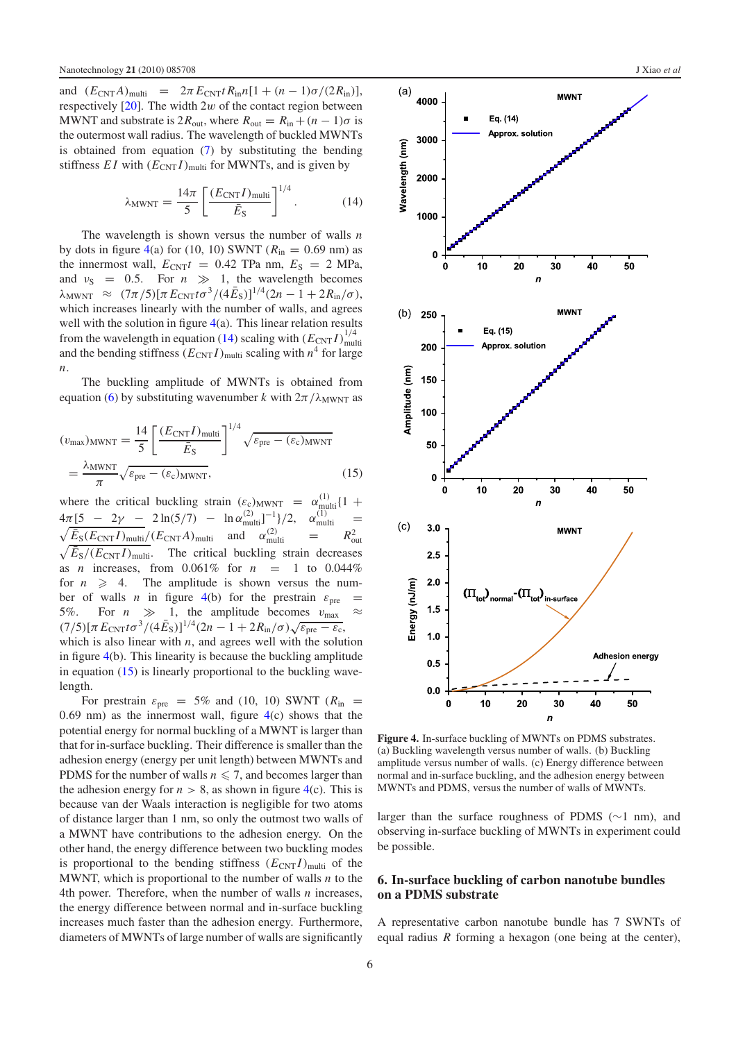<span id="page-5-2"></span>and  $(E_{\text{CNT}}A)_{\text{multi}} = 2\pi E_{\text{CNT}}t R_{\text{in}}n[1 + (n-1)\sigma/(2R_{\text{in}})],$ respectively  $[20]$ . The width 2w of the contact region between MWNT and substrate is  $2R_{\text{out}}$ , where  $R_{\text{out}} = R_{\text{in}} + (n-1)\sigma$  is the outermost wall radius. The wavelength of buckled MWNTs is obtained from equation [\(7\)](#page-2-2) by substituting the bending stiffness  $EI$  with  $(E_{\text{CNT}}I)_{\text{multi}}$  for MWNTs, and is given by

$$
\lambda_{\text{MWNT}} = \frac{14\pi}{5} \left[ \frac{(E_{\text{CNT}} I)_{\text{multi}}}{\bar{E}_{\text{S}}} \right]^{1/4}.
$$
 (14)

The wavelength is shown versus the number of walls *n* by dots in figure [4\(](#page-5-1)a) for (10, 10) SWNT ( $R_{\text{in}} = 0.69$  nm) as the innermost wall,  $E_{\text{CNT}}t = 0.42$  TPa nm,  $E_S = 2$  MPa, and  $v_S = 0.5$ . For  $n \gg 1$ , the wavelength becomes  $\lambda_{\text{MWNT}} \approx (7\pi/5) [\pi E_{\text{CNT}} t \sigma^3/(4\bar{E}_{\text{S}})]^{1/4} (2n-1+2R_{\text{in}}/\sigma),$ which increases linearly with the number of walls, and agrees well with the solution in figure  $4(a)$  $4(a)$ . This linear relation results from the wavelength in equation [\(14\)](#page-5-2) scaling with  $(E_{\text{CNT}} I)^{1/4}_{\text{mul}}$ multi and the bending stiffness  $(E_{\text{CNT}} I)_{\text{multi}}$  scaling with  $n^4$  for large *n*.

<span id="page-5-3"></span>The buckling amplitude of MWNTs is obtained from equation [\(6\)](#page-2-1) by substituting wavenumber *k* with  $2\pi/\lambda_{\text{MWNT}}$  as

$$
(v_{\text{max}})_{\text{MWNT}} = \frac{14}{5} \left[ \frac{(E_{\text{CNT}} I)_{\text{multi}}}{\bar{E}_{\text{S}}} \right]^{1/4} \sqrt{\varepsilon_{\text{pre}} - (\varepsilon_{\text{c}})_{\text{MWNT}}} = \frac{\lambda_{\text{MWNT}}}{\pi} \sqrt{\varepsilon_{\text{pre}} - (\varepsilon_{\text{c}})_{\text{MWNT}}},
$$
(15)

where the critical buckling strain  $(\varepsilon_c)_{\text{MWNT}} = \alpha_{\text{multi}}^{(1)}\{1 + \alpha_c^{(2)}\}$  $4\pi [5 - 2\gamma - 2\ln(5/7) - \ln \alpha_{\text{multi}}^{(2)}]^{-1}]/2$ ,  $\alpha_{\text{multi}}^{(1)}$  =  $\sqrt{\bar{E}_{\text{S}}(E_{\text{CNT}}I)_{\text{multi}}}/(E_{\text{CNT}}A)_{\text{multi}}$  and  $\alpha_{\text{multi}}^{(2)}$  =  $R_0^2$  $\sqrt{E_S/E_{\text{CNT}}I}$ <sub>multi</sub>. Contra *I*<sub>nulti</sub> and  $\alpha_{\text{multi}}$  -  $\alpha_{\text{out}}$ <br> $\sqrt{E_S/(E_{\text{CNT}}I)}$ <sub>multi</sub>. The critical buckling strain decreases as *n* increases, from 0.061% for *n* = 1 to 0.044% for  $n \geqslant 4$ . The amplitude is shown versus the number of walls *n* in figure [4\(](#page-5-1)b) for the prestrain  $\varepsilon_{pre}$ 5%. For  $n \gg 1$ , the amplitude becomes  $v_{\text{max}}$  $(7/5)[π E<sub>CNT</sub> tσ<sup>3</sup>/(4E<sub>S</sub>)]<sup>1/4</sup>(2n − 1 + 2R<sub>in</sub>/σ)√ε<sub>pre</sub> − ε<sub>c</sub>,$ which is also linear with  $n$ , and agrees well with the solution in figure [4\(](#page-5-1)b). This linearity is because the buckling amplitude in equation [\(15\)](#page-5-3) is linearly proportional to the buckling wavelength.

For prestrain  $\varepsilon_{pre}$  = 5% and (10, 10) SWNT ( $R_{in}$  = 0.69 nm) as the innermost wall, figure  $4(c)$  $4(c)$  shows that the potential energy for normal buckling of a MWNT is larger than that for in-surface buckling. Their difference is smaller than the adhesion energy (energy per unit length) between MWNTs and PDMS for the number of walls  $n \leq 7$ , and becomes larger than the adhesion energy for  $n > 8$ , as shown in figure [4\(](#page-5-1)c). This is because van der Waals interaction is negligible for two atoms of distance larger than 1 nm, so only the outmost two walls of a MWNT have contributions to the adhesion energy. On the other hand, the energy difference between two buckling modes is proportional to the bending stiffness  $(E_{\text{CNT}} I)_{\text{multi}}$  of the MWNT, which is proportional to the number of walls *n* to the 4th power. Therefore, when the number of walls *n* increases, the energy difference between normal and in-surface buckling increases much faster than the adhesion energy. Furthermore, diameters of MWNTs of large number of walls are significantly

<span id="page-5-1"></span>

**Figure 4.** In-surface buckling of MWNTs on PDMS substrates. (a) Buckling wavelength versus number of walls. (b) Buckling amplitude versus number of walls. (c) Energy difference between normal and in-surface buckling, and the adhesion energy between MWNTs and PDMS, versus the number of walls of MWNTs.

<span id="page-5-0"></span>larger than the surface roughness of PDMS (∼1 nm), and observing in-surface buckling of MWNTs in experiment could be possible.

#### **6. In-surface buckling of carbon nanotube bundles on a PDMS substrate**

A representative carbon nanotube bundle has 7 SWNTs of equal radius *R* forming a hexagon (one being at the center),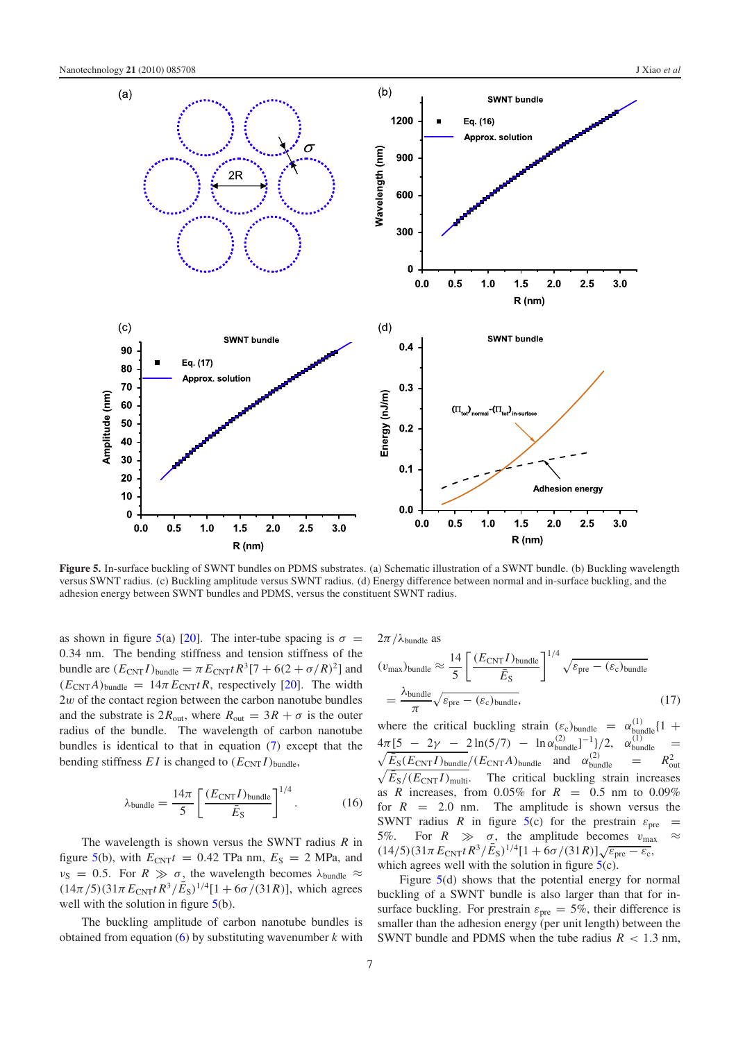<span id="page-6-0"></span>

**Figure 5.** In-surface buckling of SWNT bundles on PDMS substrates. (a) Schematic illustration of a SWNT bundle. (b) Buckling wavelength versus SWNT radius. (c) Buckling amplitude versus SWNT radius. (d) Energy difference between normal and in-surface buckling, and the adhesion energy between SWNT bundles and PDMS, versus the constituent SWNT radius.

as shown in figure [5\(](#page-6-0)a) [\[20\]](#page-7-15). The inter-tube spacing is  $\sigma =$ 0.34 nm. The bending stiffness and tension stiffness of the bundle are  $(E_{\text{CNT}} I)_{\text{bundle}} = \pi E_{\text{CNT}} t R^3 [7 + 6(2 + \sigma/R)^2]$  and  $(E_{\text{CNT}}A)_{\text{bundle}} = 14\pi E_{\text{CNT}}tR$ , respectively [\[20\]](#page-7-15). The width  $2w$  of the contact region between the carbon nanotube bundles and the substrate is  $2R_{\text{out}}$ , where  $R_{\text{out}} = 3R + \sigma$  is the outer radius of the bundle. The wavelength of carbon nanotube bundles is identical to that in equation [\(7\)](#page-2-2) except that the bending stiffness  $EI$  is changed to  $(E_{CNT}I)_{bundle}$ ,

$$
\lambda_{\text{bundle}} = \frac{14\pi}{5} \left[ \frac{(E_{\text{CNT}} I)_{\text{bundle}}}{\bar{E}_{\text{S}}} \right]^{1/4}.
$$
 (16)

The wavelength is shown versus the SWNT radius *R* in figure [5\(](#page-6-0)b), with  $E_{\text{CNT}}t = 0.42$  TPa nm,  $E_S = 2$  MPa, and  $v_S = 0.5$ . For  $R \gg \sigma$ , the wavelength becomes  $\lambda_{\text{bundle}} \approx$  $(14\pi/5)(31\pi E_{\text{CNT}}tR^3/\bar{E}_s)^{1/4}[1+6\sigma/(31R)]$ , which agrees well with the solution in figure  $5(b)$  $5(b)$ .

The buckling amplitude of carbon nanotube bundles is obtained from equation [\(6\)](#page-2-1) by substituting wavenumber *k* with  $2\pi/\lambda$ <sub>bundle</sub> as

$$
(v_{\text{max}})_{\text{bundle}} \approx \frac{14}{5} \left[ \frac{(E_{\text{CNT}} I)_{\text{bundle}}}{\bar{E}_{\text{S}}} \right]^{1/4} \sqrt{\varepsilon_{\text{pre}} - (\varepsilon_{\text{c}})_{\text{bundle}}}
$$

$$
= \frac{\lambda_{\text{bundle}}}{\pi} \sqrt{\varepsilon_{\text{pre}} - (\varepsilon_{\text{c}})_{\text{bundle}}},\tag{17}
$$

where the critical buckling strain  $(\varepsilon_c)_{\text{bundle}} = \alpha_{\text{bundle}}^{(1)} \{1 +$  $4\pi [5 - 2\gamma - 2\ln(5/7) - \ln \alpha_{\text{bundle}}^{(2)}]^{-1}]/2$ ,  $\alpha_{\text{bundle}}^{(1)} =$  $\sqrt{\bar{E}_{S}(E_{\text{CNT}} I)_{\text{bundle}}}/(E_{\text{CNT}} A)_{\text{bundle}}$  and  $\alpha_{\text{bundle}}^{(2)} = R_{\text{out}}^2$ <br>  $\sqrt{\bar{E}_{S}/(E_{\text{CNT}} I)_{\text{multi}}}.$  The critical buckling strain increases  $\sqrt{E_S/(E_{\text{CNT}}I)}$ <sub>multi</sub>. The critical buckling strain increases as *R* increases, from  $0.05\%$  for  $R = 0.5$  nm to  $0.09\%$ for  $R = 2.0$  nm. The amplitude is shown versus the SWNT radius *R* in figure [5\(](#page-6-0)c) for the prestrain  $\varepsilon_{pre}$  = 5%. For  $R \gg \sigma$ , the amplitude becomes  $v_{\text{max}}$ (14/5)(31 $\pi E_{\text{CNT}} t R^3 / \bar{E}_{\text{S}}$ )<sup>1/4</sup>[1 + 6 $\sigma$ /(31*R*)] $\sqrt{\varepsilon_{\text{pre}} - \varepsilon_{\text{c}}}$ , which agrees well with the solution in figure  $5(c)$  $5(c)$ .

Figure [5\(](#page-6-0)d) shows that the potential energy for normal buckling of a SWNT bundle is also larger than that for insurface buckling. For prestrain  $\varepsilon_{pre} = 5\%$ , their difference is smaller than the adhesion energy (per unit length) between the SWNT bundle and PDMS when the tube radius  $R < 1.3$  nm,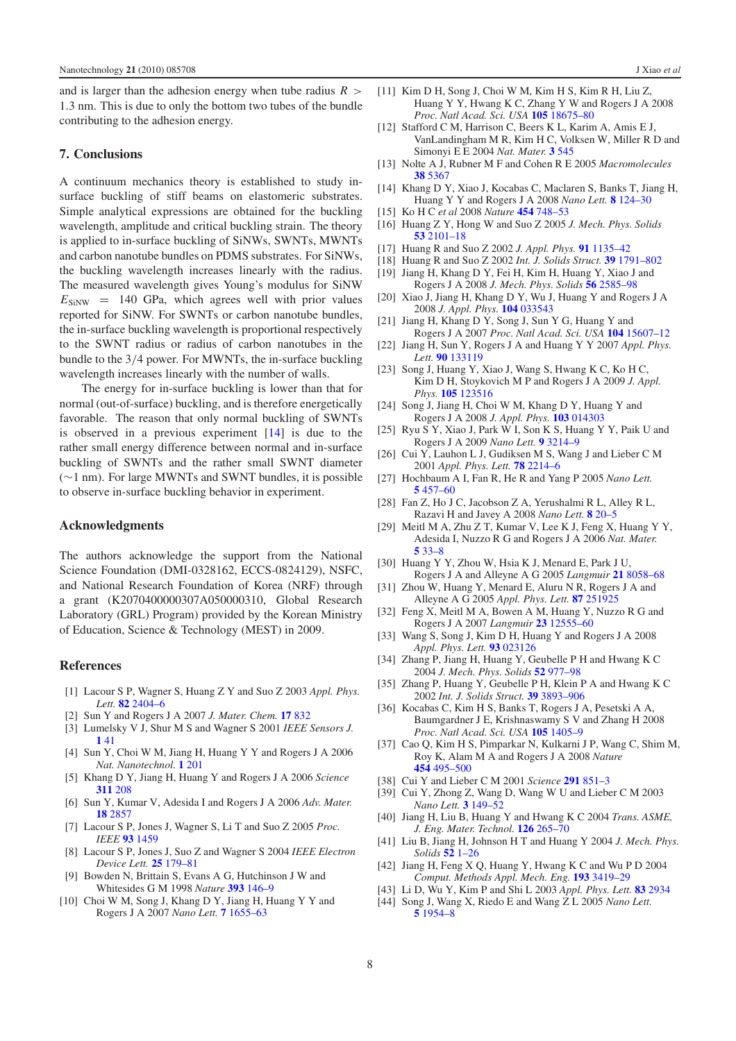and is larger than the adhesion energy when tube radius  $R >$ 1.3 nm. This is due to only the bottom two tubes of the bundle contributing to the adhesion energy.

#### **7. Conclusions**

A continuum mechanics theory is established to study insurface buckling of stiff beams on elastomeric substrates. Simple analytical expressions are obtained for the buckling wavelength, amplitude and critical buckling strain. The theory is applied to in-surface buckling of SiNWs, SWNTs, MWNTs and carbon nanotube bundles on PDMS substrates. For SiNWs, the buckling wavelength increases linearly with the radius. The measured wavelength gives Young's modulus for SiNW  $E_{\text{SiNW}} = 140 \text{ GPa}$ , which agrees well with prior values reported for SiNW. For SWNTs or carbon nanotube bundles, the in-surface buckling wavelength is proportional respectively to the SWNT radius or radius of carbon nanotubes in the bundle to the 3/4 power. For MWNTs, the in-surface buckling wavelength increases linearly with the number of walls.

The energy for in-surface buckling is lower than that for normal (out-of-surface) buckling, and is therefore energetically favorable. The reason that only normal buckling of SWNTs is observed in a previous experiment  $[14]$  is due to the rather small energy difference between normal and in-surface buckling of SWNTs and the rather small SWNT diameter (∼1 nm). For large MWNTs and SWNT bundles, it is possible to observe in-surface buckling behavior in experiment.

#### **Acknowledgments**

<span id="page-7-0"></span>The authors acknowledge the support from the National Science Foundation (DMI-0328162, ECCS-0824129), NSFC, and National Research Foundation of Korea (NRF) through a grant (K2070400000307A050000310, Global Research Laboratory (GRL) Program) provided by the Korean Ministry of Education, Science & Technology (MEST) in 2009.

#### **References**

- [1] Lacour S P, Wagner S, Huang Z Y and Suo Z 2003 *Appl. Phys. Lett.* **82** [2404–6](http://dx.doi.org/10.1063/1.1565683)
- [2] Sun Y and Rogers J A 2007 *J. Mater. Chem.* **17** [832](http://dx.doi.org/10.1039/b614793c)
- [3] Lumelsky V J, Shur M S and Wagner S 2001 *IEEE Sensors J.* **1** [41](http://dx.doi.org/10.1109/JSEN.2001.923586)
- [4] Sun Y, Choi W M, Jiang H, Huang Y Y and Rogers J A 2006 *Nat. Nanotechnol.* **1** [201](http://dx.doi.org/10.1038/nnano.2006.131)
- [5] Khang D Y, Jiang H, Huang Y and Rogers J A 2006 *Science* **[311](http://dx.doi.org/10.1126/science.1121401)** 208
- [6] Sun Y, Kumar V, Adesida I and Rogers J A 2006 *Adv. Mater.* **18** [2857](http://dx.doi.org/10.1002/adma.200600646)
- [7] Lacour S P, Jones J, Wagner S, Li T and Suo Z 2005 *Proc. IEEE* **93** [1459](http://dx.doi.org/10.1109/JPROC.2005.851502)
- [8] Lacour S P, Jones J, Suo Z and Wagner S 2004 *IEEE Electron Device Lett.* **25** [179–81](http://dx.doi.org/10.1109/LED.2004.825190)
- [9] Bowden N, Brittain S, Evans A G, Hutchinson J W and Whitesides G M 1998 *Nature* **393** [146–9](http://dx.doi.org/10.1038/30193)
- [10] Choi W M, Song J, Khang D Y, Jiang H, Huang Y Y and Rogers J A 2007 *Nano Lett.* **7** [1655–63](http://dx.doi.org/10.1021/nl0706244)
- <span id="page-7-13"></span><span id="page-7-1"></span>[11] Kim D H, Song J, Choi W M, Kim H S, Kim R H, Liu Z, Huang Y Y, Hwang K C, Zhang Y W and Rogers J A 2008 *Proc. Natl Acad. Sci. USA* **105** [18675–80](http://dx.doi.org/10.1073/pnas.0807476105)
- <span id="page-7-3"></span><span id="page-7-2"></span>[12] Stafford C M, Harrison C, Beers K L, Karim A, Amis E J, VanLandingham M R, Kim H C, Volksen W, Miller R D and Simonyi E E 2004 *Nat. Mater.* **3** [545](http://dx.doi.org/10.1038/nmat1175)
- [13] Nolte A J, Rubner M F and Cohen R E 2005 *Macromolecules* **38** [5367](http://dx.doi.org/10.1021/ma0507950)
- <span id="page-7-10"></span>[14] Khang D Y, Xiao J, Kocabas C, Maclaren S, Banks T, Jiang H, Huang Y Y and Rogers J A 2008 *Nano Lett.* **8** [124–30](http://dx.doi.org/10.1021/nl072203s) [15] Ko H C *et al* 2008 *Nature* **454** [748–53](http://dx.doi.org/10.1038/nature07113)
- <span id="page-7-15"></span><span id="page-7-14"></span>[16] Huang Z Y, Hong W and Suo Z 2005 *J. Mech. Phys. Solids* **53** [2101–18](http://dx.doi.org/10.1016/j.jmps.2005.03.007)
- [17] Huang R and Suo Z 2002 *J. Appl. Phys.* **91** [1135–42](http://dx.doi.org/10.1063/1.1427407)
- [18] Huang R and Suo Z 2002 *Int. J. Solids Struct.* **39** [1791–802](http://dx.doi.org/10.1016/S0020-7683(02)00011-2)
- [19] Jiang H, Khang D Y, Fei H, Kim H, Huang Y, Xiao J and Rogers J A 2008 *J. Mech. Phys. Solids* **56** [2585–98](http://dx.doi.org/10.1016/j.jmps.2008.03.005)
- [20] Xiao J, Jiang H, Khang D Y, Wu J, Huang Y and Rogers J A 2008 *J. Appl. Phys.* **104** [033543](http://dx.doi.org/10.1063/1.2968228)
- [21] Jiang H, Khang D Y, Song J, Sun Y G, Huang Y and Rogers J A 2007 *Proc. Natl Acad. Sci. USA* **104** [15607–12](http://dx.doi.org/10.1073/pnas.0702927104)
- <span id="page-7-4"></span>[22] Jiang H, Sun Y, Rogers J A and Huang Y Y 2007 *Appl. Phys. Lett.* **90** [133119](http://dx.doi.org/10.1063/1.2719027)
- <span id="page-7-5"></span>[23] Song J, Huang Y, Xiao J, Wang S, Hwang K C, Ko H C, Kim D H, Stoykovich M P and Rogers J A 2009 *J. Appl. Phys.* **105** [123516](http://dx.doi.org/10.1063/1.3148245)
- [24] Song J, Jiang H, Choi W M, Khang D Y, Huang Y and Rogers J A 2008 *J. Appl. Phys.* **103** [014303](http://dx.doi.org/10.1063/1.2828050)
- <span id="page-7-6"></span>[25] Ryu S Y, Xiao J, Park W I, Son K S, Huang Y Y, Paik U and Rogers J A 2009 *Nano Lett.* **9** [3214–9](http://dx.doi.org/10.1021/nl901450q)
- [26] Cui Y, Lauhon L J, Gudiksen M S, Wang J and Lieber C M 2001 *Appl. Phys. Lett.* **78** [2214–6](http://dx.doi.org/10.1063/1.1363692)
- [27] Hochbaum A I, Fan R, He R and Yang P 2005 *Nano Lett.* **5** [457–60](http://dx.doi.org/10.1021/nl047990x)
- [28] Fan Z, Ho J C, Jacobson Z A, Yerushalmi R L, Alley R L, Razavi H and Javey A 2008 *Nano Lett.* **8** [20–5](http://dx.doi.org/10.1021/nl071626r)
- [29] Meitl M A, Zhu Z T, Kumar V, Lee K J, Feng X, Huang Y Y, Adesida I, Nuzzo R G and Rogers J A 2006 *Nat. Mater.* **5** [33–8](http://dx.doi.org/10.1038/nmat1532)
- <span id="page-7-8"></span><span id="page-7-7"></span>[30] Huang Y Y, Zhou W, Hsia K J, Menard E, Park J U, Rogers J A and Alleyne A G 2005 *Langmuir* **21** [8058–68](http://dx.doi.org/10.1021/la0502185)
- <span id="page-7-9"></span>[31] Zhou W, Huang Y, Menard E, Aluru N R, Rogers J A and Alleyne A G 2005 *Appl. Phys. Lett.* **87** [251925](http://dx.doi.org/10.1063/1.2149513)
- <span id="page-7-11"></span>[32] Feng X, Meitl M A, Bowen A M, Huang Y, Nuzzo R G and Rogers J A 2007 *Langmuir* **23** [12555–60](http://dx.doi.org/10.1021/la701555n)
- [33] Wang S, Song J, Kim D H, Huang Y and Rogers J A 2008 *Appl. Phys. Lett.* **93** [023126](http://dx.doi.org/10.1063/1.2956402)
- [34] Zhang P, Jiang H, Huang Y, Geubelle P H and Hwang K C 2004 *J. Mech. Phys. Solids* **52** [977–98](http://dx.doi.org/10.1016/j.jmps.2003.09.032)
- [35] Zhang P, Huang Y, Geubelle P H, Klein P A and Hwang K C 2002 *Int. J. Solids Struct.* **39** [3893–906](http://dx.doi.org/10.1016/S0020-7683(02)00186-5)
- [36] Kocabas C, Kim H S, Banks T, Rogers J A, Pesetski A A, Baumgardner J E, Krishnaswamy S V and Zhang H 2008 *Proc. Natl Acad. Sci. USA* **105** [1405–9](http://dx.doi.org/10.1073/pnas.0709734105)
- <span id="page-7-12"></span>[37] Cao Q, Kim H S, Pimparkar N, Kulkarni J P, Wang C, Shim M, Roy K, Alam M A and Rogers J A 2008 *Nature* **454** [495–500](http://dx.doi.org/10.1038/nature07110)
- [38] Cui Y and Lieber C M 2001 *Science* **291** [851–3](http://dx.doi.org/10.1126/science.291.5505.851)
- [39] Cui Y, Zhong Z, Wang D, Wang W U and Lieber C M 2003 *Nano Lett.* **3** [149–52](http://dx.doi.org/10.1021/nl025875l)
- [40] Jiang H, Liu B, Huang Y and Hwang K C 2004 *Trans. ASME, J. Eng. Mater. Technol.* **126** [265–70](http://dx.doi.org/10.1115/1.1752925)
- [41] Liu B, Jiang H, Johnson H T and Huang Y 2004 *J. Mech. Phys. Solids* **52** [1–26](http://dx.doi.org/10.1016/S0022-5096(03)00112-1)
- [42] Jiang H, Feng X Q, Huang Y, Hwang K C and Wu P D 2004 *Comput. Methods Appl. Mech. Eng.* **193** [3419–29](http://dx.doi.org/10.1016/j.cma.2003.09.025)
- [43] Li D, Wu Y, Kim P and Shi L 2003 *Appl. Phys. Lett.* **83** [2934](http://dx.doi.org/10.1063/1.1616981)
- [44] Song J, Wang X, Riedo E and Wang Z L 2005 *Nano Lett.* **5** [1954–8](http://dx.doi.org/10.1021/nl051334v)